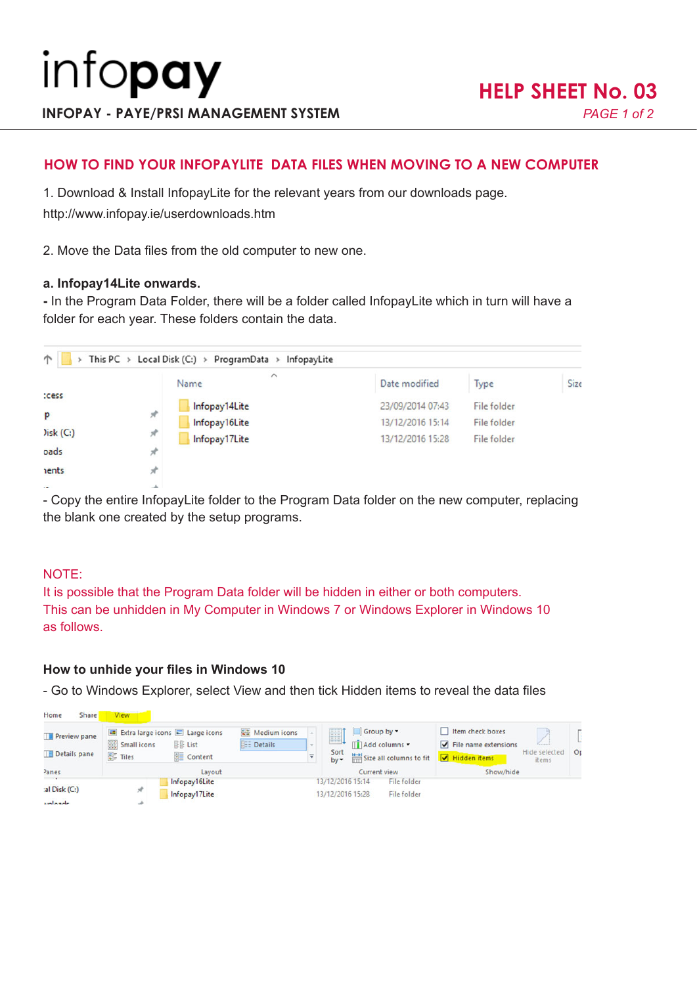# **HOW TO FIND YOUR INFOPAYLITE DATA FILES WHEN MOVING TO A NEW COMPUTER**

1. Download & Install InfopayLite for the relevant years from our downloads page.

http://www.infopay.ie/userdownloads.htm

2. Move the Data files from the old computer to new one.

## **a. Infopay14Lite onwards.**

**-** In the Program Data Folder, there will be a folder called InfopayLite which in turn will have a folder for each year. These folders contain the data.

|              |   | $\widehat{\phantom{a}}$ |                  |                    |      |
|--------------|---|-------------------------|------------------|--------------------|------|
|              |   | Name                    | Date modified    | Type               | Size |
| cess         |   | Infopay14Lite           | 23/09/2014 07:43 | File folder        |      |
| P            | я | Infopay16Lite           | 13/12/2016 15:14 | <b>File folder</b> |      |
| Disk(C)      | À | Infopay17Lite           | 13/12/2016 15:28 | File folder        |      |
| oads         | я |                         |                  |                    |      |
| <b>nents</b> |   |                         |                  |                    |      |
|              |   |                         |                  |                    |      |

- Copy the entire InfopayLite folder to the Program Data folder on the new computer, replacing the blank one created by the setup programs.

## NOTE:

It is possible that the Program Data folder will be hidden in either or both computers. This can be unhidden in My Computer in Windows 7 or Windows Explorer in Windows 10 as follows.

## **How to unhide your files in Windows 10**

- Go to Windows Explorer, select View and then tick Hidden items to reveal the data files